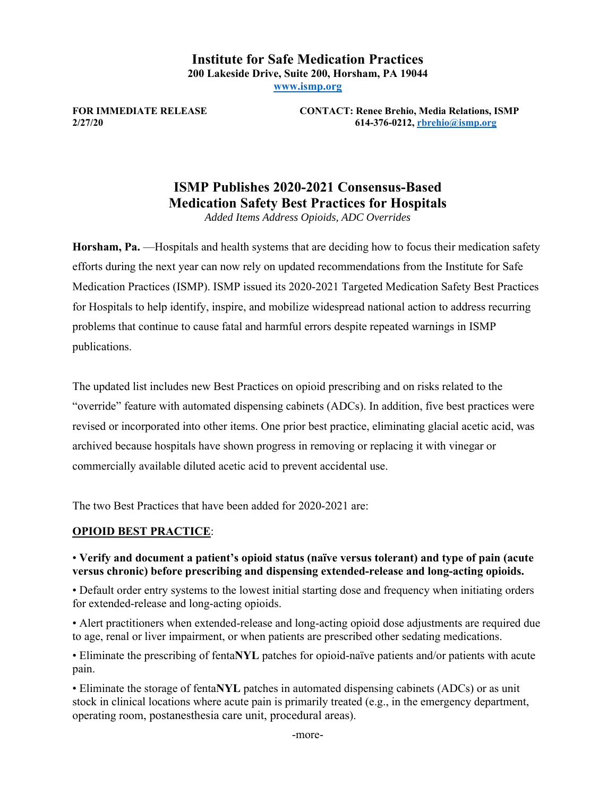**Institute for Safe Medication Practices 200 Lakeside Drive, Suite 200, Horsham, PA 19044 www.ismp.org**

**FOR IMMEDIATE RELEASE CONTACT: Renee Brehio, Media Relations, ISMP 2/27/20 614-376-0212, rbrehio@ismp.org**

# **ISMP Publishes 2020-2021 Consensus-Based Medication Safety Best Practices for Hospitals**

*Added Items Address Opioids, ADC Overrides* 

**Horsham, Pa.** —Hospitals and health systems that are deciding how to focus their medication safety efforts during the next year can now rely on updated recommendations from the Institute for Safe Medication Practices (ISMP). ISMP issued its 2020-2021 Targeted Medication Safety Best Practices for Hospitals to help identify, inspire, and mobilize widespread national action to address recurring problems that continue to cause fatal and harmful errors despite repeated warnings in ISMP publications.

The updated list includes new Best Practices on opioid prescribing and on risks related to the "override" feature with automated dispensing cabinets (ADCs). In addition, five best practices were revised or incorporated into other items. One prior best practice, eliminating glacial acetic acid, was archived because hospitals have shown progress in removing or replacing it with vinegar or commercially available diluted acetic acid to prevent accidental use.

The two Best Practices that have been added for 2020-2021 are:

### **OPIOID BEST PRACTICE**:

### • **Verify and document a patient's opioid status (naïve versus tolerant) and type of pain (acute versus chronic) before prescribing and dispensing extended-release and long-acting opioids.**

• Default order entry systems to the lowest initial starting dose and frequency when initiating orders for extended-release and long-acting opioids.

• Alert practitioners when extended-release and long-acting opioid dose adjustments are required due to age, renal or liver impairment, or when patients are prescribed other sedating medications.

• Eliminate the prescribing of fenta**NYL** patches for opioid-naïve patients and/or patients with acute pain.

• Eliminate the storage of fenta**NYL** patches in automated dispensing cabinets (ADCs) or as unit stock in clinical locations where acute pain is primarily treated (e.g., in the emergency department, operating room, postanesthesia care unit, procedural areas).